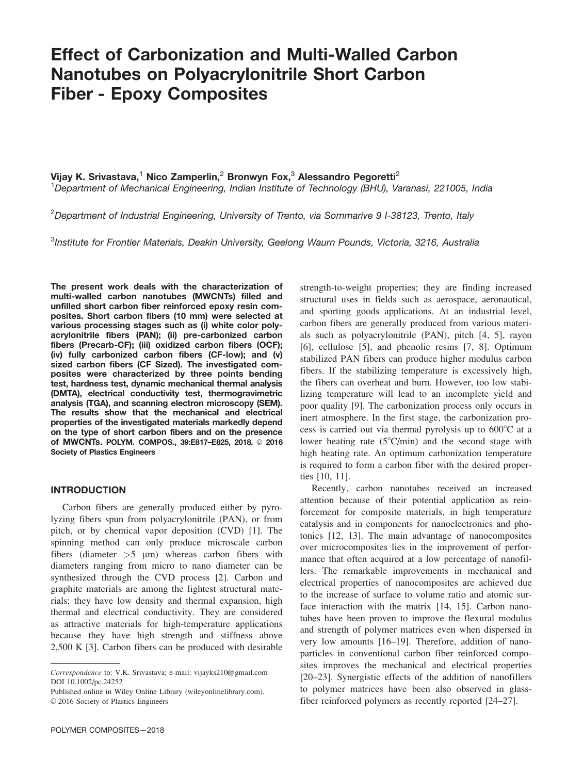# Effect of Carbonization and Multi-Walled Carbon Nanotubes on Polyacrylonitrile Short Carbon Fiber - Epoxy Composites

Vijay K. Srivastava,<sup>1</sup> Nico Zamperlin,<sup>2</sup> Bronwyn Fox,<sup>3</sup> Alessandro Pegoretti<sup>2</sup>

<sup>1</sup>Department of Mechanical Engineering, Indian Institute of Technology (BHU), Varanasi, 221005, India

 $^{2}$ Department of Industrial Engineering, University of Trento, via Sommarive 9 I-38123, Trento, Italy

<sup>3</sup>Institute for Frontier Materials, Deakin University, Geelong Waurn Pounds, Victoria, 3216, Australia

The present work deals with the characterization of multi-walled carbon nanotubes (MWCNTs) filled and unfilled short carbon fiber reinforced epoxy resin composites. Short carbon fibers (10 mm) were selected at various processing stages such as (i) white color polyacrylonitrile fibers (PAN); (ii) pre-carbonized carbon fibers (Precarb-CF); (iii) oxidized carbon fibers (OCF); (iv) fully carbonized carbon fibers (CF-low); and (v) sized carbon fibers (CF Sized). The investigated composites were characterized by three points bending test, hardness test, dynamic mechanical thermal analysis (DMTA), electrical conductivity test, thermogravimetric analysis (TGA), and scanning electron microscopy (SEM). The results show that the mechanical and electrical properties of the investigated materials markedly depend on the type of short carbon fibers and on the presence of MWCNTs. POLYM. COMPOS., 39:E817-E825, 2018. © 2016 Society of Plastics Engineers

# INTRODUCTION

Carbon fibers are generally produced either by pyrolyzing fibers spun from polyacrylonitrile (PAN), or from pitch, or by chemical vapor deposition (CVD) [1]. The spinning method can only produce microscale carbon fibers (diameter  $>5 \mu m$ ) whereas carbon fibers with diameters ranging from micro to nano diameter can be synthesized through the CVD process [2]. Carbon and graphite materials are among the lightest structural materials; they have low density and thermal expansion, high thermal and electrical conductivity. They are considered as attractive materials for high-temperature applications because they have high strength and stiffness above 2,500 K [3]. Carbon fibers can be produced with desirable

Published online in Wiley Online Library (wileyonlinelibrary.com).  $©$  2016 Society of Plastics Engineers

strength-to-weight properties; they are finding increased structural uses in fields such as aerospace, aeronautical, and sporting goods applications. At an industrial level, carbon fibers are generally produced from various materials such as polyacrylonitrile (PAN), pitch [4, 5], rayon [6], cellulose [5], and phenolic resins [7, 8]. Optimum stabilized PAN fibers can produce higher modulus carbon fibers. If the stabilizing temperature is excessively high, the fibers can overheat and burn. However, too low stabilizing temperature will lead to an incomplete yield and poor quality [9]. The carbonization process only occurs in inert atmosphere. In the first stage, the carbonization process is carried out via thermal pyrolysis up to  $600^{\circ}$ C at a lower heating rate  $(5^{\circ}C/\text{min})$  and the second stage with high heating rate. An optimum carbonization temperature is required to form a carbon fiber with the desired properties [10, 11].

Recently, carbon nanotubes received an increased attention because of their potential application as reinforcement for composite materials, in high temperature catalysis and in components for nanoelectronics and photonics [12, 13]. The main advantage of nanocomposites over microcomposites lies in the improvement of performance that often acquired at a low percentage of nanofillers. The remarkable improvements in mechanical and electrical properties of nanocomposites are achieved due to the increase of surface to volume ratio and atomic surface interaction with the matrix [14, 15]. Carbon nanotubes have been proven to improve the flexural modulus and strength of polymer matrices even when dispersed in very low amounts [16–19]. Therefore, addition of nanoparticles in conventional carbon fiber reinforced composites improves the mechanical and electrical properties [20–23]. Synergistic effects of the addition of nanofillers to polymer matrices have been also observed in glassfiber reinforced polymers as recently reported [24–27].

Correspondence to: V.K. Srivastava; e-mail: vijayks210@gmail.com DOI 10.1002/pc.24252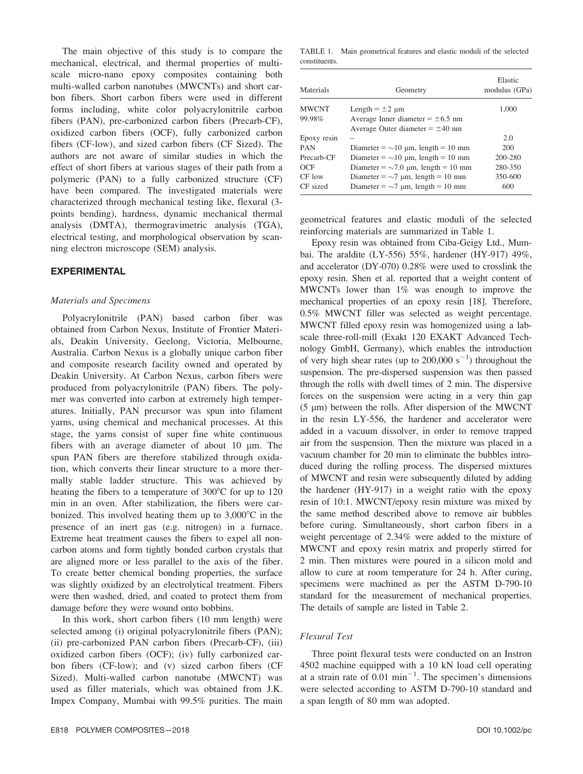The main objective of this study is to compare the mechanical, electrical, and thermal properties of multiscale micro-nano epoxy composites containing both multi-walled carbon nanotubes (MWCNTs) and short carbon fibers. Short carbon fibers were used in different forms including, white color polyacrylonitrile carbon fibers (PAN), pre-carbonized carbon fibers (Precarb-CF), oxidized carbon fibers (OCF), fully carbonized carbon fibers (CF-low), and sized carbon fibers (CF Sized). The authors are not aware of similar studies in which the effect of short fibers at various stages of their path from a polymeric (PAN) to a fully carbonized structure (CF) have been compared. The investigated materials were characterized through mechanical testing like, flexural (3 points bending), hardness, dynamic mechanical thermal analysis (DMTA), thermogravimetric analysis (TGA), electrical testing, and morphological observation by scanning electron microscope (SEM) analysis.

# EXPERIMENTAL

#### Materials and Specimens

Polyacrylonitrile (PAN) based carbon fiber was obtained from Carbon Nexus, Institute of Frontier Materials, Deakin University, Geelong, Victoria, Melbourne, Australia. Carbon Nexus is a globally unique carbon fiber and composite research facility owned and operated by Deakin University. At Carbon Nexus, carbon fibers were produced from polyacrylonitrile (PAN) fibers. The polymer was converted into carbon at extremely high temperatures. Initially, PAN precursor was spun into filament yarns, using chemical and mechanical processes. At this stage, the yarns consist of super fine white continuous fibers with an average diameter of about  $10 \mu m$ . The spun PAN fibers are therefore stabilized through oxidation, which converts their linear structure to a more thermally stable ladder structure. This was achieved by heating the fibers to a temperature of  $300^{\circ}$ C for up to 120 min in an oven. After stabilization, the fibers were carbonized. This involved heating them up to  $3,000^{\circ}$ C in the presence of an inert gas (e.g. nitrogen) in a furnace. Extreme heat treatment causes the fibers to expel all noncarbon atoms and form tightly bonded carbon crystals that are aligned more or less parallel to the axis of the fiber. To create better chemical bonding properties, the surface was slightly oxidized by an electrolytical treatment. Fibers were then washed, dried, and coated to protect them from damage before they were wound onto bobbins.

In this work, short carbon fibers (10 mm length) were selected among (i) original polyacrylonitrile fibers (PAN); (ii) pre-carbonized PAN carbon fibers (Precarb-CF), (iii) oxidized carbon fibers (OCF); (iv) fully carbonized carbon fibers (CF-low); and (v) sized carbon fibers (CF Sized). Multi-walled carbon nanotube (MWCNT) was used as filler materials, which was obtained from J.K. Impex Company, Mumbai with 99.5% purities. The main

TABLE 1. Main geometrical features and elastic moduli of the selected constituents.

| Materials    | Geometry                                 | Elastic<br>modulus (GPa) |
|--------------|------------------------------------------|--------------------------|
| <b>MWCNT</b> | Length $= \pm 2$ µm                      | 1,000                    |
| 99.98%       | Average Inner diameter $= \pm 6.5$ nm    |                          |
|              | Average Outer diameter $= \pm 40$ nm     |                          |
| Epoxy resin  |                                          | 2.0                      |
| <b>PAN</b>   | Diameter = $\sim$ 10 µm, length = 10 mm  | 200                      |
| Precarb-CF   | Diameter = $\sim$ 10 µm, length = 10 mm  | 200-280                  |
| OCF          | Diameter = $\sim$ 7.0 µm, length = 10 mm | 280-350                  |
| CF low       | Diameter = $\sim$ 7 µm, length = 10 mm   | 350-600                  |
| CF sized     | Diameter = $\sim$ 7 µm, length = 10 mm   | 600                      |

geometrical features and elastic moduli of the selected reinforcing materials are summarized in Table 1.

Epoxy resin was obtained from Ciba-Geigy Ltd., Mumbai. The araldite (LY-556) 55%, hardener (HY-917) 49%, and accelerator (DY-070) 0.28% were used to crosslink the epoxy resin. Shen et al. reported that a weight content of MWCNTs lower than 1% was enough to improve the mechanical properties of an epoxy resin [18]. Therefore, 0.5% MWCNT filler was selected as weight percentage. MWCNT filled epoxy resin was homogenized using a labscale three-roll-mill (Exakt 120 EXAKT Advanced Technology GmbH, Germany), which enables the introduction of very high shear rates (up to  $200,000 \text{ s}^{-1}$ ) throughout the suspension. The pre-dispersed suspension was then passed through the rolls with dwell times of 2 min. The dispersive forces on the suspension were acting in a very thin gap  $(5 \mu m)$  between the rolls. After dispersion of the MWCNT in the resin LY-556, the hardener and accelerator were added in a vacuum dissolver, in order to remove trapped air from the suspension. Then the mixture was placed in a vacuum chamber for 20 min to eliminate the bubbles introduced during the rolling process. The dispersed mixtures of MWCNT and resin were subsequently diluted by adding the hardener (HY-917) in a weight ratio with the epoxy resin of 10:1. MWCNT/epoxy resin mixture was mixed by the same method described above to remove air bubbles before curing. Simultaneously, short carbon fibers in a weight percentage of 2.34% were added to the mixture of MWCNT and epoxy resin matrix and properly stirred for 2 min. Then mixtures were poured in a silicon mold and allow to cure at room temperature for 24 h. After curing, specimens were machined as per the ASTM D-790-10 standard for the measurement of mechanical properties. The details of sample are listed in Table 2.

## Flexural Test

Three point flexural tests were conducted on an Instron 4502 machine equipped with a 10 kN load cell operating at a strain rate of  $0.01$  min<sup>-1</sup>. The specimen's dimensions were selected according to ASTM D-790-10 standard and a span length of 80 mm was adopted.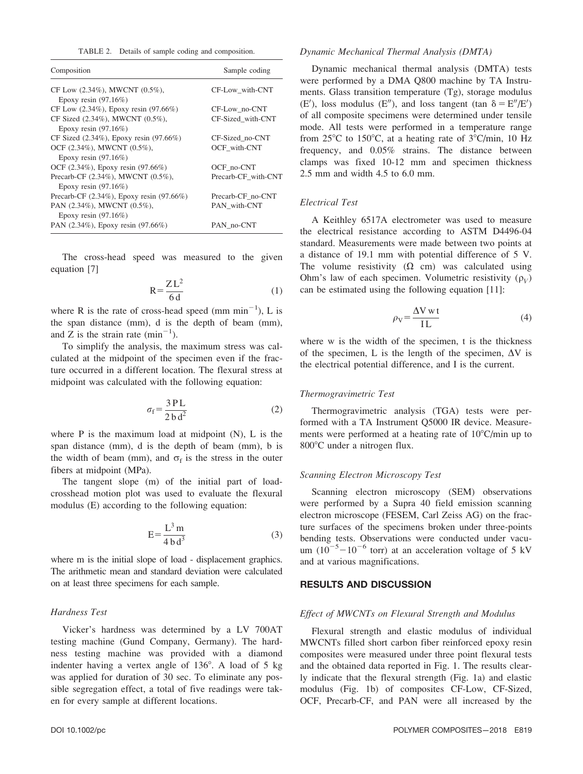| TABLE 2. Details of sample coding and composition. |  |  |  |  |  |  |  |
|----------------------------------------------------|--|--|--|--|--|--|--|
|----------------------------------------------------|--|--|--|--|--|--|--|

| Composition                                                      | Sample coding       |
|------------------------------------------------------------------|---------------------|
| CF Low $(2.34\%)$ , MWCNT $(0.5\%)$ ,<br>Epoxy resin $(97.16\%)$ | CF-Low with-CNT     |
| CF Low $(2.34\%)$ , Epoxy resin $(97.66\%)$                      | CF-Low_no-CNT       |
| CF Sized (2.34%), MWCNT (0.5%),                                  | CF-Sized_with-CNT   |
| Epoxy resin $(97.16\%)$                                          |                     |
| CF Sized $(2.34\%)$ , Epoxy resin $(97.66\%)$                    | CF-Sized no-CNT     |
| OCF (2.34%), MWCNT (0.5%),                                       | OCF with-CNT        |
| Epoxy resin $(97.16\%)$                                          |                     |
| OCF (2.34%), Epoxy resin (97.66%)                                | OCF no-CNT          |
| Precarb-CF (2.34%), MWCNT (0.5%),                                | Precarb-CF with-CNT |
| Epoxy resin $(97.16\%)$                                          |                     |
| Precarb-CF $(2.34\%)$ , Epoxy resin $(97.66\%)$                  | Precarb-CF no-CNT   |
| PAN (2.34%), MWCNT (0.5%),<br>Epoxy resin $(97.16\%)$            | PAN with-CNT        |
| PAN (2.34%), Epoxy resin (97.66%)                                | PAN no-CNT          |

The cross-head speed was measured to the given equation [7]

$$
R = \frac{Z L^2}{6 d} \tag{1}
$$

where R is the rate of cross-head speed (mm  $min^{-1}$ ), L is the span distance (mm), d is the depth of beam (mm), and Z is the strain rate  $(\text{min}^{-1})$ .

To simplify the analysis, the maximum stress was calculated at the midpoint of the specimen even if the fracture occurred in a different location. The flexural stress at midpoint was calculated with the following equation:

$$
\sigma_{\rm f} = \frac{3 \, \text{PL}}{2 \, \text{b} \, \text{d}^2} \tag{2}
$$

where  $P$  is the maximum load at midpoint  $(N)$ ,  $L$  is the span distance (mm), d is the depth of beam (mm), b is the width of beam (mm), and  $\sigma_f$  is the stress in the outer fibers at midpoint (MPa).

The tangent slope (m) of the initial part of loadcrosshead motion plot was used to evaluate the flexural modulus (E) according to the following equation:

$$
E = \frac{L^3 m}{4 b d^3} \tag{3}
$$

where m is the initial slope of load - displacement graphics. The arithmetic mean and standard deviation were calculated on at least three specimens for each sample.

### Hardness Test

Vicker's hardness was determined by a LV 700AT testing machine (Gund Company, Germany). The hardness testing machine was provided with a diamond indenter having a vertex angle of  $136^\circ$ . A load of 5 kg was applied for duration of 30 sec. To eliminate any possible segregation effect, a total of five readings were taken for every sample at different locations.

## Dynamic Mechanical Thermal Analysis (DMTA)

Dynamic mechanical thermal analysis (DMTA) tests were performed by a DMA Q800 machine by TA Instruments. Glass transition temperature (Tg), storage modulus  $(E')$ , loss modulus  $(E'')$ , and loss tangent (tan  $\delta = E''/E'$ ) of all composite specimens were determined under tensile mode. All tests were performed in a temperature range from  $25^{\circ}$ C to 150 $^{\circ}$ C, at a heating rate of  $3^{\circ}$ C/min, 10 Hz frequency, and 0.05% strains. The distance between clamps was fixed 10-12 mm and specimen thickness 2.5 mm and width 4.5 to 6.0 mm.

## Electrical Test

A Keithley 6517A electrometer was used to measure the electrical resistance according to ASTM D4496-04 standard. Measurements were made between two points at a distance of 19.1 mm with potential difference of 5 V. The volume resistivity  $(\Omega \text{ cm})$  was calculated using Ohm's law of each specimen. Volumetric resistivity  $(\rho_V)$ can be estimated using the following equation [11]:

$$
\rho_{\rm V} = \frac{\Delta V \,\mathrm{w}\,\mathrm{t}}{\mathrm{IL}}\tag{4}
$$

where w is the width of the specimen, t is the thickness of the specimen, L is the length of the specimen,  $\Delta V$  is the electrical potential difference, and I is the current.

#### Thermogravimetric Test

Thermogravimetric analysis (TGA) tests were performed with a TA Instrument Q5000 IR device. Measurements were performed at a heating rate of  $10^{\circ}$ C/min up to 800°C under a nitrogen flux.

## Scanning Electron Microscopy Test

Scanning electron microscopy (SEM) observations were performed by a Supra 40 field emission scanning electron microscope (FESEM, Carl Zeiss AG) on the fracture surfaces of the specimens broken under three-points bending tests. Observations were conducted under vacuum  $(10^{-5} - 10^{-6}$  torr) at an acceleration voltage of 5 kV and at various magnifications.

#### RESULTS AND DISCUSSION

## Effect of MWCNTs on Flexural Strength and Modulus

Flexural strength and elastic modulus of individual MWCNTs filled short carbon fiber reinforced epoxy resin composites were measured under three point flexural tests and the obtained data reported in Fig. 1. The results clearly indicate that the flexural strength (Fig. 1a) and elastic modulus (Fig. 1b) of composites CF-Low, CF-Sized, OCF, Precarb-CF, and PAN were all increased by the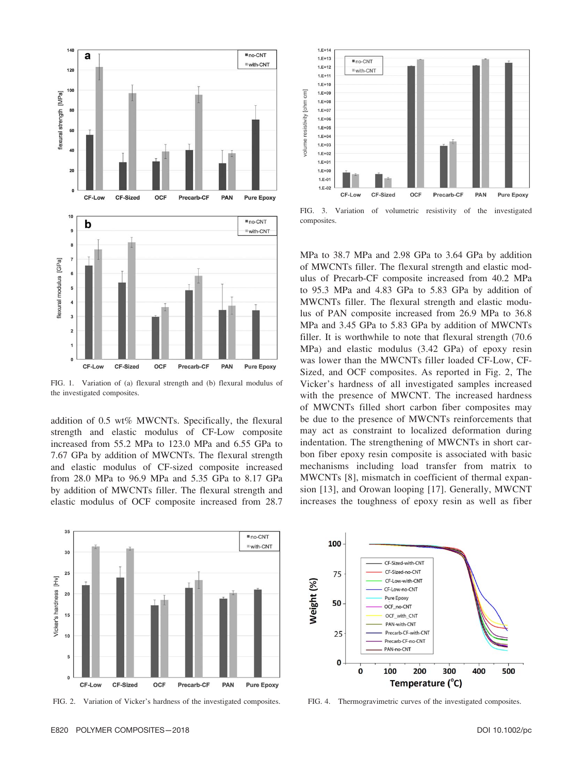

FIG. 1. Variation of (a) flexural strength and (b) flexural modulus of the investigated composites.

addition of 0.5 wt% MWCNTs. Specifically, the flexural strength and elastic modulus of CF-Low composite increased from 55.2 MPa to 123.0 MPa and 6.55 GPa to 7.67 GPa by addition of MWCNTs. The flexural strength and elastic modulus of CF-sized composite increased from 28.0 MPa to 96.9 MPa and 5.35 GPa to 8.17 GPa by addition of MWCNTs filler. The flexural strength and elastic modulus of OCF composite increased from 28.7



FIG. 2. Variation of Vicker's hardness of the investigated composites.



FIG. 3. Variation of volumetric resistivity of the investigated composites.

MPa to 38.7 MPa and 2.98 GPa to 3.64 GPa by addition of MWCNTs filler. The flexural strength and elastic modulus of Precarb-CF composite increased from 40.2 MPa to 95.3 MPa and 4.83 GPa to 5.83 GPa by addition of MWCNTs filler. The flexural strength and elastic modulus of PAN composite increased from 26.9 MPa to 36.8 MPa and 3.45 GPa to 5.83 GPa by addition of MWCNTs filler. It is worthwhile to note that flexural strength (70.6 MPa) and elastic modulus (3.42 GPa) of epoxy resin was lower than the MWCNTs filler loaded CF-Low, CF-Sized, and OCF composites. As reported in Fig. 2, The Vicker's hardness of all investigated samples increased with the presence of MWCNT. The increased hardness of MWCNTs filled short carbon fiber composites may be due to the presence of MWCNTs reinforcements that may act as constraint to localized deformation during indentation. The strengthening of MWCNTs in short carbon fiber epoxy resin composite is associated with basic mechanisms including load transfer from matrix to MWCNTs [8], mismatch in coefficient of thermal expansion [13], and Orowan looping [17]. Generally, MWCNT increases the toughness of epoxy resin as well as fiber



FIG. 4. Thermogravimetric curves of the investigated composites.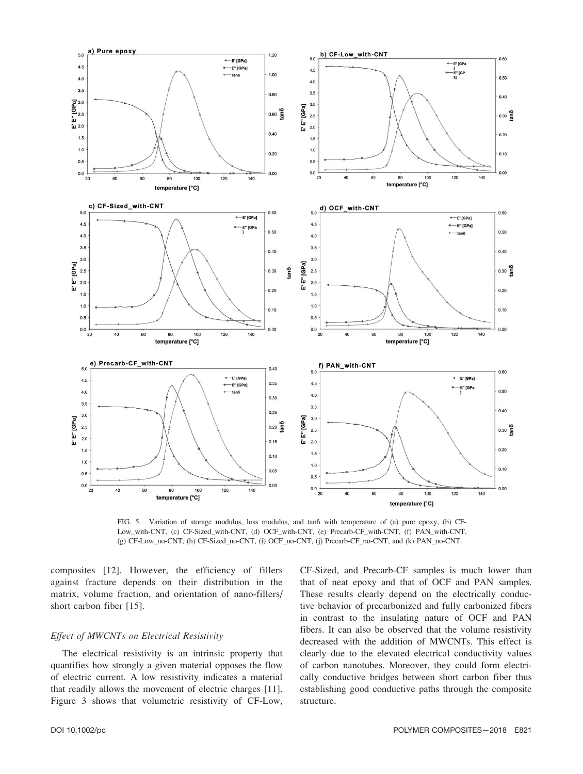

FIG. 5. Variation of storage modulus, loss modulus, and tand with temperature of (a) pure epoxy, (b) CF-Low\_with-CNT, (c) CF-Sized\_with-CNT, (d) OCF\_with-CNT, (e) Precarb-CF\_with-CNT, (f) PAN\_with-CNT, (g) CF-Low\_no-CNT, (h) CF-Sized\_no-CNT, (i) OCF\_no-CNT, (j) Precarb-CF\_no-CNT, and (k) PAN\_no-CNT.

composites [12]. However, the efficiency of fillers against fracture depends on their distribution in the matrix, volume fraction, and orientation of nano-fillers/ short carbon fiber [15].

# Effect of MWCNTs on Electrical Resistivity

The electrical resistivity is an intrinsic property that quantifies how strongly a given material opposes the flow of electric current. A low resistivity indicates a material that readily allows the movement of electric charges [11]. Figure 3 shows that volumetric resistivity of CF-Low, CF-Sized, and Precarb-CF samples is much lower than that of neat epoxy and that of OCF and PAN samples. These results clearly depend on the electrically conductive behavior of precarbonized and fully carbonized fibers in contrast to the insulating nature of OCF and PAN fibers. It can also be observed that the volume resistivity decreased with the addition of MWCNTs. This effect is clearly due to the elevated electrical conductivity values of carbon nanotubes. Moreover, they could form electrically conductive bridges between short carbon fiber thus establishing good conductive paths through the composite structure.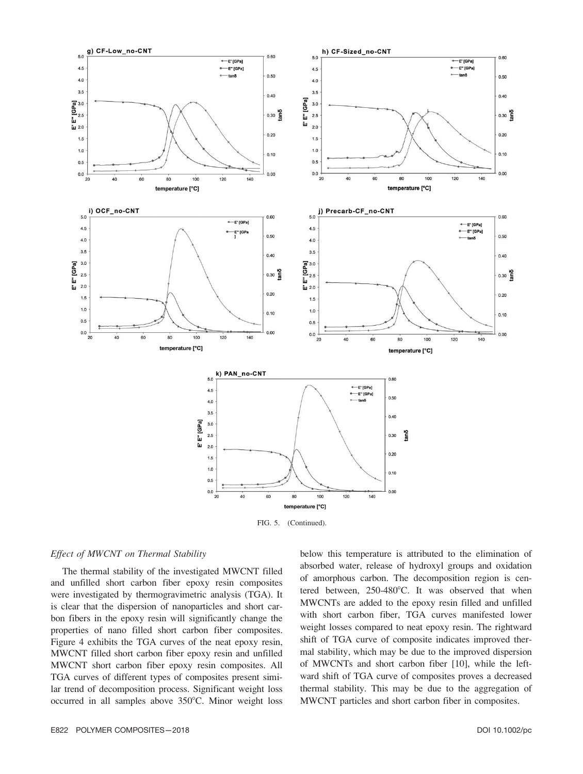

### Effect of MWCNT on Thermal Stability

The thermal stability of the investigated MWCNT filled and unfilled short carbon fiber epoxy resin composites were investigated by thermogravimetric analysis (TGA). It is clear that the dispersion of nanoparticles and short carbon fibers in the epoxy resin will significantly change the properties of nano filled short carbon fiber composites. Figure 4 exhibits the TGA curves of the neat epoxy resin, MWCNT filled short carbon fiber epoxy resin and unfilled MWCNT short carbon fiber epoxy resin composites. All TGA curves of different types of composites present similar trend of decomposition process. Significant weight loss occurred in all samples above  $350^{\circ}$ C. Minor weight loss below this temperature is attributed to the elimination of absorbed water, release of hydroxyl groups and oxidation of amorphous carbon. The decomposition region is centered between,  $250-480^{\circ}$ C. It was observed that when MWCNTs are added to the epoxy resin filled and unfilled with short carbon fiber, TGA curves manifested lower weight losses compared to neat epoxy resin. The rightward shift of TGA curve of composite indicates improved thermal stability, which may be due to the improved dispersion of MWCNTs and short carbon fiber [10], while the leftward shift of TGA curve of composites proves a decreased thermal stability. This may be due to the aggregation of MWCNT particles and short carbon fiber in composites.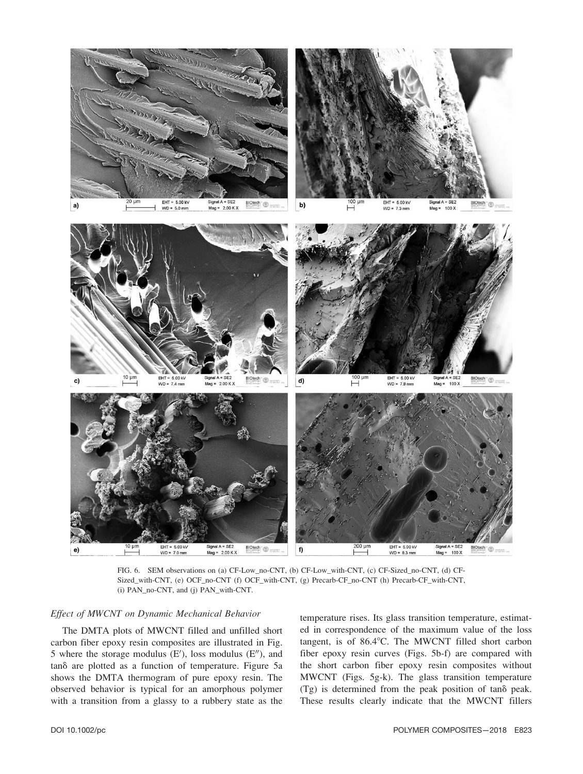

FIG. 6. SEM observations on (a) CF-Low\_no-CNT, (b) CF-Low\_with-CNT, (c) CF-Sized\_no-CNT, (d) CF-Sized\_with-CNT, (e) OCF\_no-CNT (f) OCF\_with-CNT, (g) Precarb-CF\_no-CNT (h) Precarb-CF\_with-CNT, (i) PAN\_no-CNT, and (j) PAN\_with-CNT.

# Effect of MWCNT on Dynamic Mechanical Behavior

The DMTA plots of MWCNT filled and unfilled short carbon fiber epoxy resin composites are illustrated in Fig. 5 where the storage modulus  $(E')$ , loss modulus  $(E'')$ , and tand are plotted as a function of temperature. Figure 5a shows the DMTA thermogram of pure epoxy resin. The observed behavior is typical for an amorphous polymer with a transition from a glassy to a rubbery state as the temperature rises. Its glass transition temperature, estimated in correspondence of the maximum value of the loss tangent, is of  $86.4^{\circ}$ C. The MWCNT filled short carbon fiber epoxy resin curves (Figs. 5b-f) are compared with the short carbon fiber epoxy resin composites without MWCNT (Figs. 5g-k). The glass transition temperature (Tg) is determined from the peak position of tand peak. These results clearly indicate that the MWCNT fillers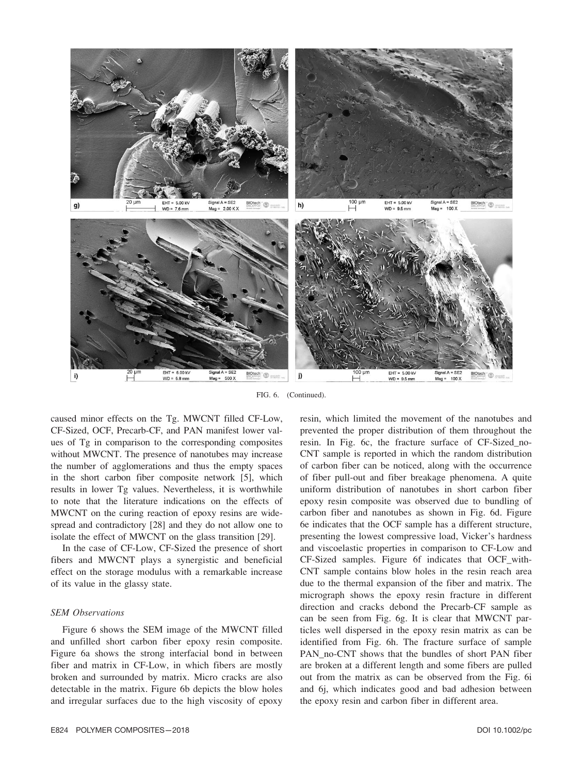

FIG. 6. (Continued).

caused minor effects on the Tg. MWCNT filled CF-Low, CF-Sized, OCF, Precarb-CF, and PAN manifest lower values of Tg in comparison to the corresponding composites without MWCNT. The presence of nanotubes may increase the number of agglomerations and thus the empty spaces in the short carbon fiber composite network [5], which results in lower Tg values. Nevertheless, it is worthwhile to note that the literature indications on the effects of MWCNT on the curing reaction of epoxy resins are widespread and contradictory [28] and they do not allow one to isolate the effect of MWCNT on the glass transition [29].

In the case of CF-Low, CF-Sized the presence of short fibers and MWCNT plays a synergistic and beneficial effect on the storage modulus with a remarkable increase of its value in the glassy state.

#### SEM Observations

Figure 6 shows the SEM image of the MWCNT filled and unfilled short carbon fiber epoxy resin composite. Figure 6a shows the strong interfacial bond in between fiber and matrix in CF-Low, in which fibers are mostly broken and surrounded by matrix. Micro cracks are also detectable in the matrix. Figure 6b depicts the blow holes and irregular surfaces due to the high viscosity of epoxy resin, which limited the movement of the nanotubes and prevented the proper distribution of them throughout the resin. In Fig. 6c, the fracture surface of CF-Sized\_no-CNT sample is reported in which the random distribution of carbon fiber can be noticed, along with the occurrence of fiber pull-out and fiber breakage phenomena. A quite uniform distribution of nanotubes in short carbon fiber epoxy resin composite was observed due to bundling of carbon fiber and nanotubes as shown in Fig. 6d. Figure 6e indicates that the OCF sample has a different structure, presenting the lowest compressive load, Vicker's hardness and viscoelastic properties in comparison to CF-Low and CF-Sized samples. Figure 6f indicates that OCF\_with-CNT sample contains blow holes in the resin reach area due to the thermal expansion of the fiber and matrix. The micrograph shows the epoxy resin fracture in different direction and cracks debond the Precarb-CF sample as can be seen from Fig. 6g. It is clear that MWCNT particles well dispersed in the epoxy resin matrix as can be identified from Fig. 6h. The fracture surface of sample PAN\_no-CNT shows that the bundles of short PAN fiber are broken at a different length and some fibers are pulled out from the matrix as can be observed from the Fig. 6i and 6j, which indicates good and bad adhesion between the epoxy resin and carbon fiber in different area.